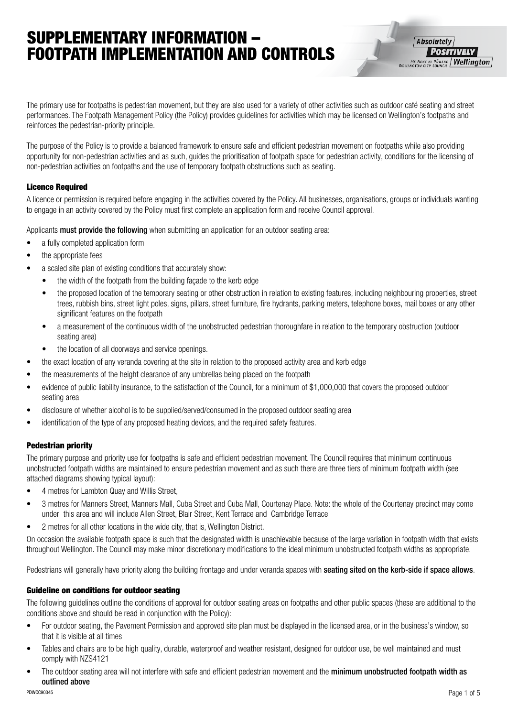## SUPPLEMENTARY INFORMATION – FOOTPATH IMPLEMENTATION AND CONTROLS

The primary use for footpaths is pedestrian movement, but they are also used for a variety of other activities such as outdoor café seating and street performances. The Footpath Management Policy (the Policy) provides guidelines for activities which may be licensed on Wellington's footpaths and reinforces the pedestrian-priority principle.

The purpose of the Policy is to provide a balanced framework to ensure safe and efficient pedestrian movement on footpaths while also providing opportunity for non-pedestrian activities and as such, guides the prioritisation of footpath space for pedestrian activity, conditions for the licensing of non-pedestrian activities on footpaths and the use of temporary footpath obstructions such as seating.

## Licence Required

A licence or permission is required before engaging in the activities covered by the Policy. All businesses, organisations, groups or individuals wanting to engage in an activity covered by the Policy must first complete an application form and receive Council approval.

Applicants must provide the following when submitting an application for an outdoor seating area:

- a fully completed application form
- the appropriate fees
- a scaled site plan of existing conditions that accurately show:
	- the width of the footpath from the building facade to the kerb edge
	- the proposed location of the temporary seating or other obstruction in relation to existing features, including neighbouring properties, street trees, rubbish bins, street light poles, signs, pillars, street furniture, fire hydrants, parking meters, telephone boxes, mail boxes or any other significant features on the footpath
	- a measurement of the continuous width of the unobstructed pedestrian thoroughfare in relation to the temporary obstruction (outdoor seating area)
	- the location of all doorways and service openings.
- the exact location of any veranda covering at the site in relation to the proposed activity area and kerb edge
- the measurements of the height clearance of any umbrellas being placed on the footpath
- evidence of public liability insurance, to the satisfaction of the Council, for a minimum of \$1,000,000 that covers the proposed outdoor seating area
- disclosure of whether alcohol is to be supplied/served/consumed in the proposed outdoor seating area
- identification of the type of any proposed heating devices, and the required safety features.

## Pedestrian priority

The primary purpose and priority use for footpaths is safe and efficient pedestrian movement. The Council requires that minimum continuous unobstructed footpath widths are maintained to ensure pedestrian movement and as such there are three tiers of minimum footpath width (see attached diagrams showing typical layout):

- • 4 metres for Lambton Quay and Willis Street,
- 3 metres for Manners Street, Manners Mall, Cuba Street and Cuba Mall, Courtenay Place. Note: the whole of the Courtenay precinct may come under this area and will include Allen Street, Blair Street, Kent Terrace and Cambridge Terrace
- 2 metres for all other locations in the wide city, that is, Wellington District.

On occasion the available footpath space is such that the designated width is unachievable because of the large variation in footpath width that exists throughout Wellington. The Council may make minor discretionary modifications to the ideal minimum unobstructed footpath widths as appropriate.

Pedestrians will generally have priority along the building frontage and under veranda spaces with seating sited on the kerb-side if space allows.

## Guideline on conditions for outdoor seating

The following guidelines outline the conditions of approval for outdoor seating areas on footpaths and other public spaces (these are additional to the conditions above and should be read in conjunction with the Policy):

- For outdoor seating, the Pavement Permission and approved site plan must be displayed in the licensed area, or in the business's window, so that it is visible at all times
- Tables and chairs are to be high quality, durable, waterproof and weather resistant, designed for outdoor use, be well maintained and must comply with NZS4121
- The outdoor seating area will not interfere with safe and efficient pedestrian movement and the minimum unobstructed footpath width as outlined above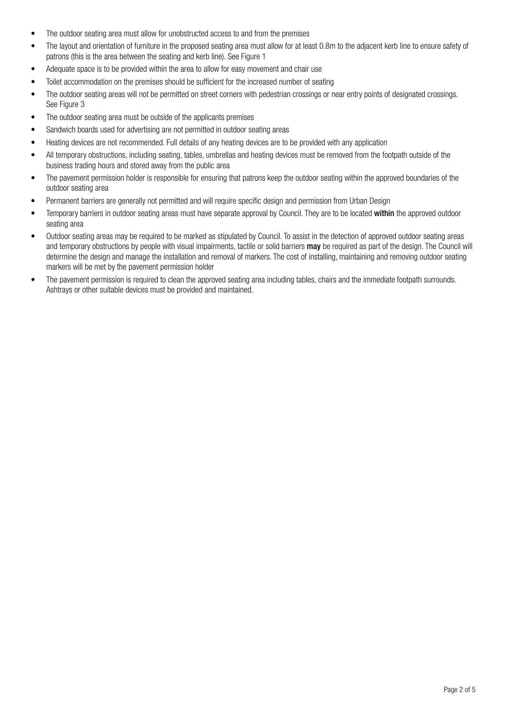- The outdoor seating area must allow for unobstructed access to and from the premises
- The layout and orientation of furniture in the proposed seating area must allow for at least 0.8m to the adjacent kerb line to ensure safety of patrons (this is the area between the seating and kerb line). See Figure 1
- Adequate space is to be provided within the area to allow for easy movement and chair use
- Toilet accommodation on the premises should be sufficient for the increased number of seating
- The outdoor seating areas will not be permitted on street corners with pedestrian crossings or near entry points of designated crossings. See Figure 3
- The outdoor seating area must be outside of the applicants premises
- Sandwich boards used for advertising are not permitted in outdoor seating areas
- Heating devices are not recommended. Full details of any heating devices are to be provided with any application
- All temporary obstructions, including seating, tables, umbrellas and heating devices must be removed from the footpath outside of the business trading hours and stored away from the public area
- The pavement permission holder is responsible for ensuring that patrons keep the outdoor seating within the approved boundaries of the outdoor seating area
- Permanent barriers are generally not permitted and will require specific design and permission from Urban Design
- Temporary barriers in outdoor seating areas must have separate approval by Council. They are to be located within the approved outdoor seating area
- Outdoor seating areas may be required to be marked as stipulated by Council. To assist in the detection of approved outdoor seating areas and temporary obstructions by people with visual impairments, tactile or solid barriers may be required as part of the design. The Council will determine the design and manage the installation and removal of markers. The cost of installing, maintaining and removing outdoor seating markers will be met by the pavement permission holder
- The pavement permission is required to clean the approved seating area including tables, chairs and the immediate footpath surrounds. Ashtrays or other suitable devices must be provided and maintained.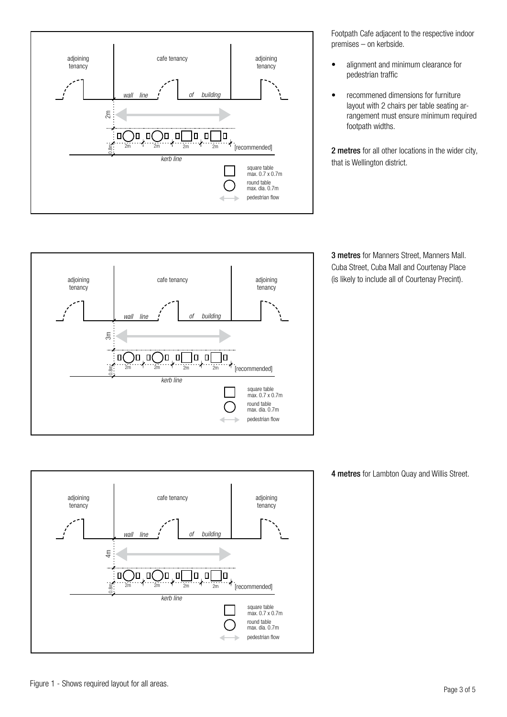

Footpath Cafe adjacent to the respective indoor premises – on kerbside.

- alignment and minimum clearance for pedestrian traffic
- • recommened dimensions for furniture layout with 2 chairs per table seating arrangement must ensure minimum required footpath widths.

2 metres for all other locations in the wider city, that is Wellington district.



3 metres for Manners Street, Manners Mall. Cuba Street, Cuba Mall and Courtenay Place (is likely to include all of Courtenay Precint).



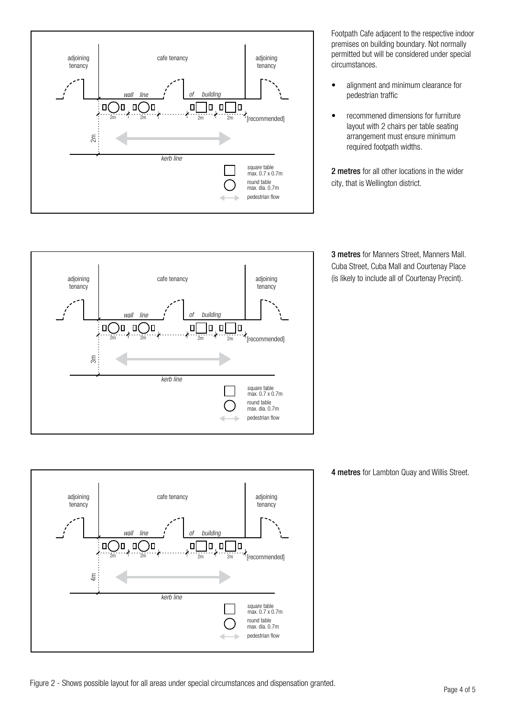

Footpath Cafe adjacent to the respective indoor premises on building boundary. Not normally permitted but will be considered under special circumstances.

- • alignment and minimum clearance for pedestrian traffic
- • recommened dimensions for furniture layout with 2 chairs per table seating arrangement must ensure minimum required footpath widths.

2 metres for all other locations in the wider city, that is Wellington district.

3 metres for Manners Street, Manners Mall. Cuba Street, Cuba Mall and Courtenay Place (is likely to include all of Courtenay Precint).





4 metres for Lambton Quay and Willis Street.